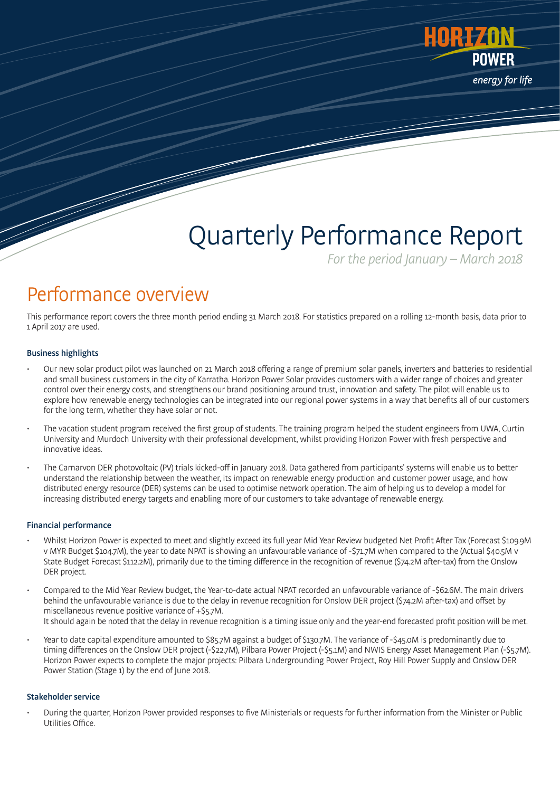

# Quarterly Performance Report

For the period January – March 2018

### Performance overview

This performance report covers the three month period ending 31 March 2018. For statistics prepared on a rolling 12-month basis, data prior to 1 April 2017 are used.

#### Business highlights

- Our new solar product pilot was launched on 21 March 2018 offering a range of premium solar panels, inverters and batteries to residential and small business customers in the city of Karratha. Horizon Power Solar provides customers with a wider range of choices and greater control over their energy costs, and strengthens our brand positioning around trust, innovation and safety. The pilot will enable us to explore how renewable energy technologies can be integrated into our regional power systems in a way that benefits all of our customers for the long term, whether they have solar or not.
- The vacation student program received the first group of students. The training program helped the student engineers from UWA, Curtin University and Murdoch University with their professional development, whilst providing Horizon Power with fresh perspective and innovative ideas.
- The Carnarvon DER photovoltaic (PV) trials kicked-off in January 2018. Data gathered from participants' systems will enable us to better understand the relationship between the weather, its impact on renewable energy production and customer power usage, and how distributed energy resource (DER) systems can be used to optimise network operation. The aim of helping us to develop a model for increasing distributed energy targets and enabling more of our customers to take advantage of renewable energy.

#### Financial performance

- Whilst Horizon Power is expected to meet and slightly exceed its full year Mid Year Review budgeted Net Profit After Tax (Forecast \$109.9M v MYR Budget \$104.7M), the year to date NPAT is showing an unfavourable variance of -\$71.7M when compared to the (Actual \$40.5M v State Budget Forecast \$112.2M), primarily due to the timing difference in the recognition of revenue (\$74.2M after-tax) from the Onslow DER project.
- Compared to the Mid Year Review budget, the Year-to-date actual NPAT recorded an unfavourable variance of -\$62.6M. The main drivers behind the unfavourable variance is due to the delay in revenue recognition for Onslow DER project (\$74.2M after-tax) and offset by miscellaneous revenue positive variance of +\$5.7M. It should again be noted that the delay in revenue recognition is a timing issue only and the year-end forecasted profit position will be met.
- Year to date capital expenditure amounted to \$85.7M against a budget of \$130.7M. The variance of -\$45.0M is predominantly due to timing differences on the Onslow DER project (-\$22.7M), Pilbara Power Project (-\$5.1M) and NWIS Energy Asset Management Plan (-\$5.7M). Horizon Power expects to complete the major projects: Pilbara Undergrounding Power Project, Roy Hill Power Supply and Onslow DER Power Station (Stage 1) by the end of June 2018.

#### Stakeholder service

• During the quarter, Horizon Power provided responses to five Ministerials or requests for further information from the Minister or Public Utilities Office.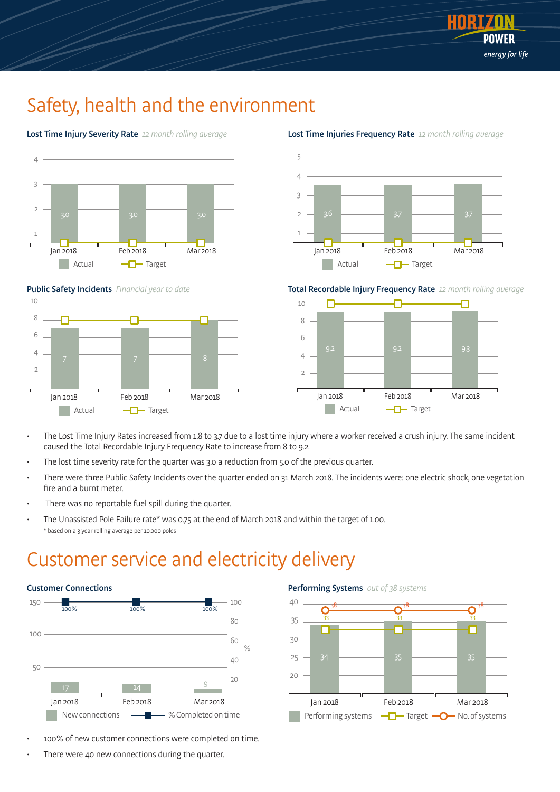

### Safety, health and the environment

Lost Time Injury Severity Rate 12 month rolling average









Lost Time Injuries Frequency Rate 12 month rolling average

Total Recordable Injury Frequency Rate 12 month rolling average



- The Lost Time Injury Rates increased from 1.8 to 3.7 due to a lost time injury where a worker received a crush injury. The same incident caused the Total Recordable Injury Frequency Rate to increase from 8 to 9.2.
- The lost time severity rate for the quarter was 3.0 a reduction from 5.0 of the previous quarter.
- There were three Public Safety Incidents over the quarter ended on 31 March 2018. The incidents were: one electric shock, one vegetation fire and a burnt meter.
- There was no reportable fuel spill during the quarter.
- The Unassisted Pole Failure rate\* was 0.75 at the end of March 2018 and within the target of 1.00. \* based on a 3 year rolling average per 10,000 poles

### Customer service and electricity delivery



- 100% of new customer connections were completed on time.
- There were 40 new connections during the quarter.

#### Performing Systems out of 38 systems

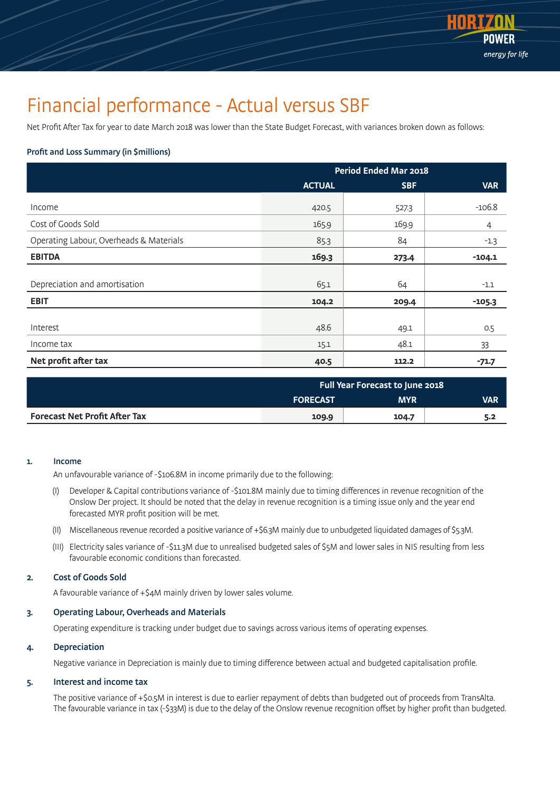

### Financial performance - Actual versus SBF

Net Profit After Tax for year to date March 2018 was lower than the State Budget Forecast, with variances broken down as follows:

#### Profit and Loss Summary (in \$millions)

|                                         | <b>Period Ended Mar 2018</b> |            |            |
|-----------------------------------------|------------------------------|------------|------------|
|                                         | <b>ACTUAL</b>                | <b>SBF</b> | <b>VAR</b> |
| Income                                  | 420.5                        | 527.3      | $-106.8$   |
| Cost of Goods Sold                      | 165.9                        | 169.9      | 4          |
| Operating Labour, Overheads & Materials | 85.3                         | 84         | $-1.3$     |
| <b>EBITDA</b>                           | 169.3                        | 273.4      | $-104.1$   |
|                                         |                              |            |            |
| Depreciation and amortisation           | 65.1                         | 64         | $-1.1$     |
| <b>EBIT</b>                             | 104.2                        | 209.4      | $-105.3$   |
|                                         |                              |            |            |
| Interest                                | 48.6                         | 49.1       | 0.5        |
| Income tax                              | 15.1                         | 48.1       | 33         |
| Net profit after tax                    | 40.5                         | 112.2      | $-71.7$    |

|                                      | <b>Full Year Forecast to June 2018</b> |            |            |
|--------------------------------------|----------------------------------------|------------|------------|
|                                      | <b>FORECAST</b>                        | <b>MYR</b> | <b>VAR</b> |
| <b>Forecast Net Profit After Tax</b> | 109.9                                  | 104.7      | 5.2        |

#### 1. Income

An unfavourable variance of -\$106.8M in income primarily due to the following:

- (I) Developer & Capital contributions variance of -\$101.8M mainly due to timing differences in revenue recognition of the Onslow Der project. It should be noted that the delay in revenue recognition is a timing issue only and the year end forecasted MYR profit position will be met.
- (II) Miscellaneous revenue recorded a positive variance of +\$6.3M mainly due to unbudgeted liquidated damages of \$5.3M.
- (III) Electricity sales variance of -\$11.3M due to unrealised budgeted sales of \$5M and lower sales in NIS resulting from less favourable economic conditions than forecasted.

#### 2. Cost of Goods Sold

A favourable variance of +\$4M mainly driven by lower sales volume.

#### 3. Operating Labour, Overheads and Materials

Operating expenditure is tracking under budget due to savings across various items of operating expenses.

#### 4. Depreciation

Negative variance in Depreciation is mainly due to timing difference between actual and budgeted capitalisation profile.

#### 5. Interest and income tax

The positive variance of +\$0.5M in interest is due to earlier repayment of debts than budgeted out of proceeds from TransAlta. The favourable variance in tax (-\$33M) is due to the delay of the Onslow revenue recognition offset by higher profit than budgeted.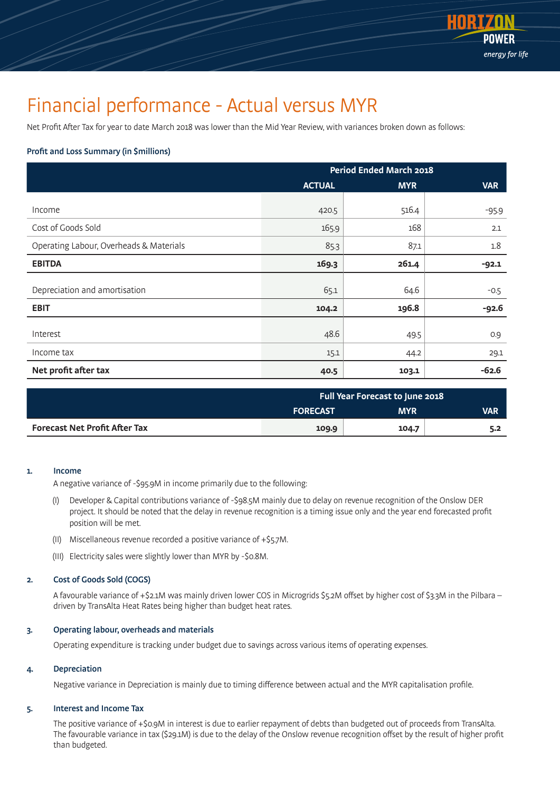

### Financial performance - Actual versus MYR

Net Profit After Tax for year to date March 2018 was lower than the Mid Year Review, with variances broken down as follows:

#### Profit and Loss Summary (in \$millions)

|                                         | <b>Period Ended March 2018</b> |            |            |
|-----------------------------------------|--------------------------------|------------|------------|
|                                         | <b>ACTUAL</b>                  | <b>MYR</b> | <b>VAR</b> |
|                                         |                                |            |            |
| Income                                  | 420.5                          | 516.4      | $-95.9$    |
| Cost of Goods Sold                      | 165.9                          | 168        | 2.1        |
| Operating Labour, Overheads & Materials | 85.3                           | 87.1       | 1.8        |
| <b>EBITDA</b>                           | 169.3                          | 261.4      | $-92.1$    |
|                                         |                                |            |            |
| Depreciation and amortisation           | 65.1                           | 64.6       | $-0.5$     |
| <b>EBIT</b>                             | 104.2                          | 196.8      | $-92.6$    |
|                                         |                                |            |            |
| Interest                                | 48.6                           | 49.5       | 0.9        |
| Income tax                              | 15.1                           | 44.2       | 29.1       |
| Net profit after tax                    | 40.5                           | 103.1      | $-62.6$    |

|                                      | <b>Full Year Forecast to June 2018</b> |            |            |
|--------------------------------------|----------------------------------------|------------|------------|
|                                      | <b>FORECAST</b>                        | <b>MYR</b> | <b>VAR</b> |
| <b>Forecast Net Profit After Tax</b> | 109.9                                  | 104.7      | 5.2        |

#### 1. Income

A negative variance of -\$95.9M in income primarily due to the following:

- (I) Developer & Capital contributions variance of -\$98.5M mainly due to delay on revenue recognition of the Onslow DER project. It should be noted that the delay in revenue recognition is a timing issue only and the year end forecasted profit position will be met.
- (II) Miscellaneous revenue recorded a positive variance of +\$5.7M.
- (III) Electricity sales were slightly lower than MYR by -\$0.8M.

#### 2. Cost of Goods Sold (COGS)

 A favourable variance of +\$2.1M was mainly driven lower COS in Microgrids \$5.2M offset by higher cost of \$3.3M in the Pilbara – driven by TransAlta Heat Rates being higher than budget heat rates.

#### 3. Operating labour, overheads and materials

Operating expenditure is tracking under budget due to savings across various items of operating expenses.

#### 4. Depreciation

Negative variance in Depreciation is mainly due to timing difference between actual and the MYR capitalisation profile.

#### 5. Interest and Income Tax

The positive variance of +\$0.9M in interest is due to earlier repayment of debts than budgeted out of proceeds from TransAlta. The favourable variance in tax (\$29.1M) is due to the delay of the Onslow revenue recognition offset by the result of higher profit than budgeted.